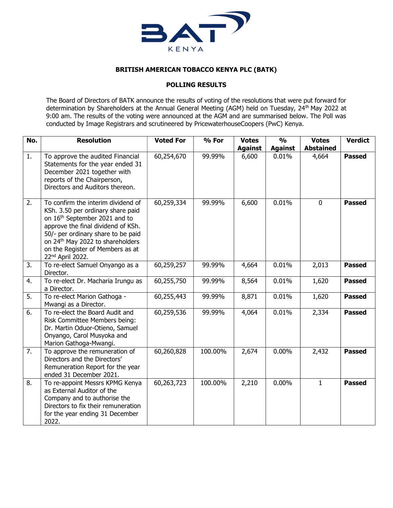

## BRITISH AMERICAN TOBACCO KENYA PLC (BATK)

## POLLING RESULTS

The Board of Directors of BATK announce the results of voting of the resolutions that were put forward for determination by Shareholders at the Annual General Meeting (AGM) held on Tuesday, 24<sup>th</sup> May 2022 at 9:00 am. The results of the voting were announced at the AGM and are summarised below. The Poll was conducted by Image Registrars and scrutineered by PricewaterhouseCoopers (PwC) Kenya.

| No. | <b>Resolution</b>                                                                                                                                                                                                                                                                            | <b>Voted For</b> | % For   | <b>Votes</b>   | $\frac{0}{0}$  | <b>Votes</b>     | <b>Verdict</b> |
|-----|----------------------------------------------------------------------------------------------------------------------------------------------------------------------------------------------------------------------------------------------------------------------------------------------|------------------|---------|----------------|----------------|------------------|----------------|
|     |                                                                                                                                                                                                                                                                                              |                  |         | <b>Against</b> | <b>Against</b> | <b>Abstained</b> |                |
| 1.  | To approve the audited Financial<br>Statements for the year ended 31<br>December 2021 together with<br>reports of the Chairperson,<br>Directors and Auditors thereon.                                                                                                                        | 60,254,670       | 99.99%  | 6,600          | 0.01%          | 4,664            | <b>Passed</b>  |
| 2.  | To confirm the interim dividend of<br>KSh. 3.50 per ordinary share paid<br>on 16th September 2021 and to<br>approve the final dividend of KSh.<br>50/- per ordinary share to be paid<br>on 24 <sup>th</sup> May 2022 to shareholders<br>on the Register of Members as at<br>22nd April 2022. | 60,259,334       | 99.99%  | 6,600          | 0.01%          | $\mathbf 0$      | <b>Passed</b>  |
| 3.  | To re-elect Samuel Onyango as a<br>Director.                                                                                                                                                                                                                                                 | 60,259,257       | 99.99%  | 4,664          | 0.01%          | 2,013            | <b>Passed</b>  |
| 4.  | To re-elect Dr. Macharia Irungu as<br>a Director.                                                                                                                                                                                                                                            | 60,255,750       | 99.99%  | 8,564          | 0.01%          | 1,620            | <b>Passed</b>  |
| 5.  | To re-elect Marion Gathoga -<br>Mwangi as a Director.                                                                                                                                                                                                                                        | 60,255,443       | 99.99%  | 8,871          | 0.01%          | 1,620            | <b>Passed</b>  |
| 6.  | To re-elect the Board Audit and<br>Risk Committee Members being:<br>Dr. Martin Oduor-Otieno, Samuel<br>Onyango, Carol Musyoka and<br>Marion Gathoga-Mwangi.                                                                                                                                  | 60,259,536       | 99.99%  | 4,064          | 0.01%          | 2,334            | <b>Passed</b>  |
| 7.  | To approve the remuneration of<br>Directors and the Directors'<br>Remuneration Report for the year<br>ended 31 December 2021.                                                                                                                                                                | 60,260,828       | 100.00% | 2,674          | 0.00%          | 2,432            | <b>Passed</b>  |
| 8.  | To re-appoint Messrs KPMG Kenya<br>as External Auditor of the<br>Company and to authorise the<br>Directors to fix their remuneration<br>for the year ending 31 December<br>2022.                                                                                                             | 60,263,723       | 100.00% | 2,210          | 0.00%          | $\mathbf{1}$     | <b>Passed</b>  |